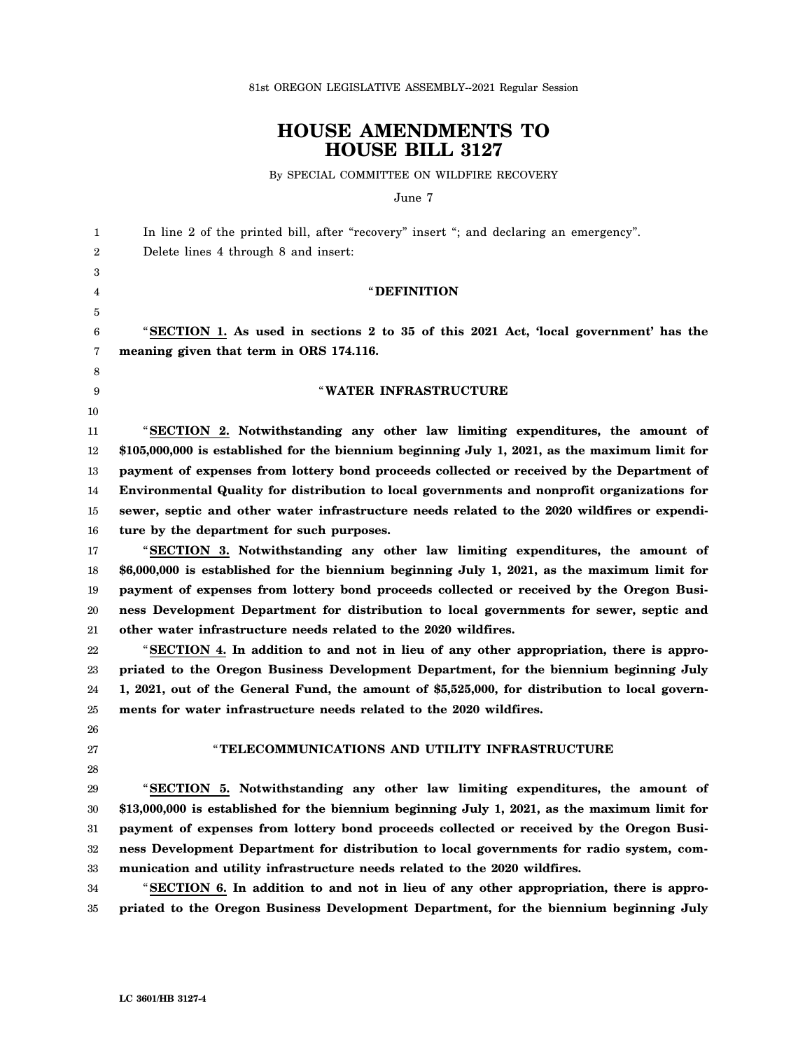81st OREGON LEGISLATIVE ASSEMBLY--2021 Regular Session

# **HOUSE AMENDMENTS TO HOUSE BILL 3127**

By SPECIAL COMMITTEE ON WILDFIRE RECOVERY

June 7

| 1  | In line 2 of the printed bill, after "recovery" insert "; and declaring an emergency".          |
|----|-------------------------------------------------------------------------------------------------|
| 2  | Delete lines 4 through 8 and insert:                                                            |
| 3  |                                                                                                 |
| 4  | <b>"DEFINITION</b>                                                                              |
| 5  |                                                                                                 |
| 6  | "SECTION 1. As used in sections 2 to 35 of this 2021 Act, 'local government' has the            |
| 7  | meaning given that term in ORS 174.116.                                                         |
| 8  |                                                                                                 |
| 9  | "WATER INFRASTRUCTURE                                                                           |
| 10 |                                                                                                 |
| 11 | "SECTION 2. Notwithstanding any other law limiting expenditures, the amount of                  |
| 12 | $$105,000,000$ is established for the biennium beginning July 1, 2021, as the maximum limit for |
| 13 | payment of expenses from lottery bond proceeds collected or received by the Department of       |
| 14 | Environmental Quality for distribution to local governments and nonprofit organizations for     |
| 15 | sewer, septic and other water infrastructure needs related to the 2020 wildfires or expendi-    |
| 16 | ture by the department for such purposes.                                                       |
| 17 | "SECTION 3. Notwithstanding any other law limiting expenditures, the amount of                  |
| 18 | \$6,000,000 is established for the biennium beginning July 1, 2021, as the maximum limit for    |
| 19 | payment of expenses from lottery bond proceeds collected or received by the Oregon Busi-        |
| 20 | ness Development Department for distribution to local governments for sewer, septic and         |
| 21 | other water infrastructure needs related to the 2020 wildfires.                                 |
| 22 | "SECTION 4. In addition to and not in lieu of any other appropriation, there is appro-          |
| 23 | priated to the Oregon Business Development Department, for the biennium beginning July          |
| 24 | 1, 2021, out of the General Fund, the amount of \$5,525,000, for distribution to local govern-  |
| 25 | ments for water infrastructure needs related to the 2020 wildfires.                             |
| 26 |                                                                                                 |
| 27 | "TELECOMMUNICATIONS AND UTILITY INFRASTRUCTURE                                                  |
| 28 |                                                                                                 |
| 29 | "SECTION 5. Notwithstanding any other law limiting expenditures, the amount of                  |
| 30 | \$13,000,000 is established for the biennium beginning July 1, 2021, as the maximum limit for   |
| 31 | payment of expenses from lottery bond proceeds collected or received by the Oregon Busi-        |
| 32 | ness Development Department for distribution to local governments for radio system, com-        |
| 33 | munication and utility infrastructure needs related to the 2020 wildfires.                      |
| 34 | "SECTION 6. In addition to and not in lieu of any other appropriation, there is appro-          |
| 35 | priated to the Oregon Business Development Department, for the biennium beginning July          |
|    |                                                                                                 |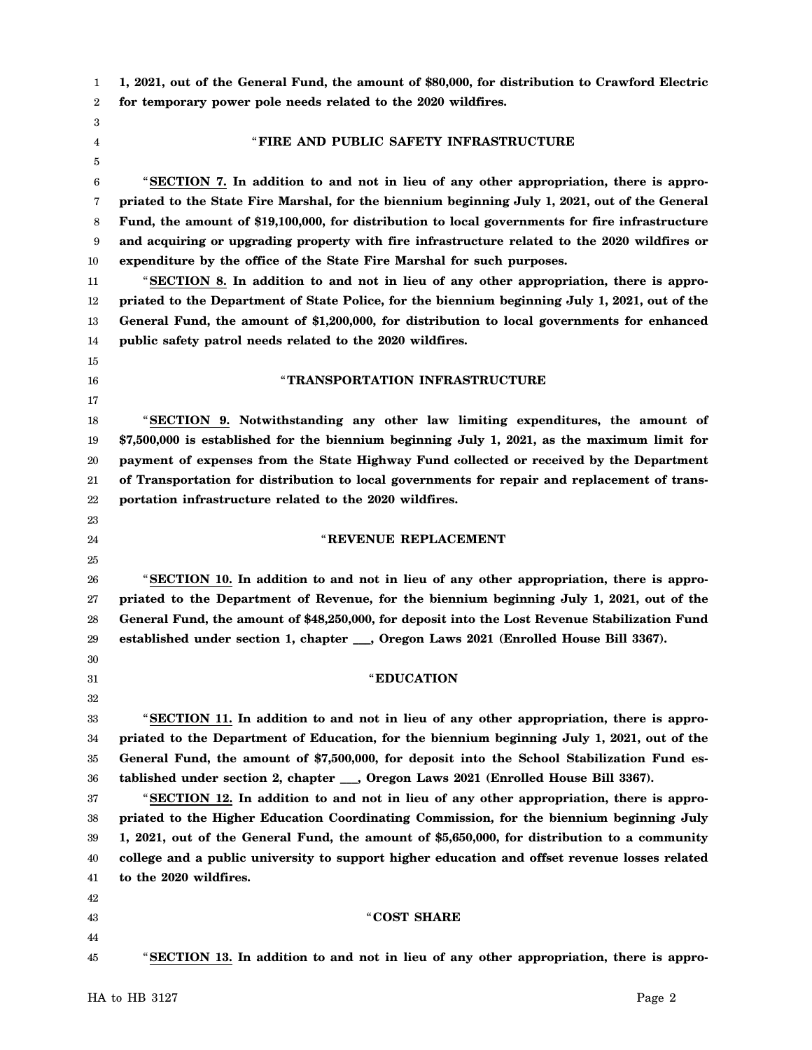1 2 **1, 2021, out of the General Fund, the amount of \$80,000, for distribution to Crawford Electric for temporary power pole needs related to the 2020 wildfires.**

3 4 5

15 16 17

23 24 25

30 31 32

## " **FIRE AND PUBLIC SAFETY INFRASTRUCTURE**

6 7 8 9 10 "**SECTION 7. In addition to and not in lieu of any other appropriation, there is appropriated to the State Fire Marshal, for the biennium beginning July 1, 2021, out of the General Fund, the amount of \$19,100,000, for distribution to local governments for fire infrastructure and acquiring or upgrading property with fire infrastructure related to the 2020 wildfires or expenditure by the office of the State Fire Marshal for such purposes.**

11 12 13 14 "**SECTION 8. In addition to and not in lieu of any other appropriation, there is appropriated to the Department of State Police, for the biennium beginning July 1, 2021, out of the General Fund, the amount of \$1,200,000, for distribution to local governments for enhanced public safety patrol needs related to the 2020 wildfires.**

#### " **TRANSPORTATION INFRASTRUCTURE**

18 19 20 21 22 "**SECTION 9. Notwithstanding any other law limiting expenditures, the amount of \$7,500,000 is established for the biennium beginning July 1, 2021, as the maximum limit for payment of expenses from the State Highway Fund collected or received by the Department of Transportation for distribution to local governments for repair and replacement of transportation infrastructure related to the 2020 wildfires.**

#### " **REVENUE REPLACEMENT**

26 27 28 29 "**SECTION 10. In addition to and not in lieu of any other appropriation, there is appropriated to the Department of Revenue, for the biennium beginning July 1, 2021, out of the General Fund, the amount of \$48,250,000, for deposit into the Lost Revenue Stabilization Fund established under section 1, chapter \_\_\_, Oregon Laws 2021 (Enrolled House Bill 3367).**

#### "**EDUCATION**

33 34 35 36 "**SECTION 11. In addition to and not in lieu of any other appropriation, there is appropriated to the Department of Education, for the biennium beginning July 1, 2021, out of the General Fund, the amount of \$7,500,000, for deposit into the School Stabilization Fund established under section 2, chapter \_\_\_, Oregon Laws 2021 (Enrolled House Bill 3367).**

37 38 39 40 41 "**SECTION 12. In addition to and not in lieu of any other appropriation, there is appropriated to the Higher Education Coordinating Commission, for the biennium beginning July 1, 2021, out of the General Fund, the amount of \$5,650,000, for distribution to a community college and a public university to support higher education and offset revenue losses related to the 2020 wildfires.**

- 42
- 43
- 44
- 45

"**SECTION 13. In addition to and not in lieu of any other appropriation, there is appro-**

"**COST SHARE**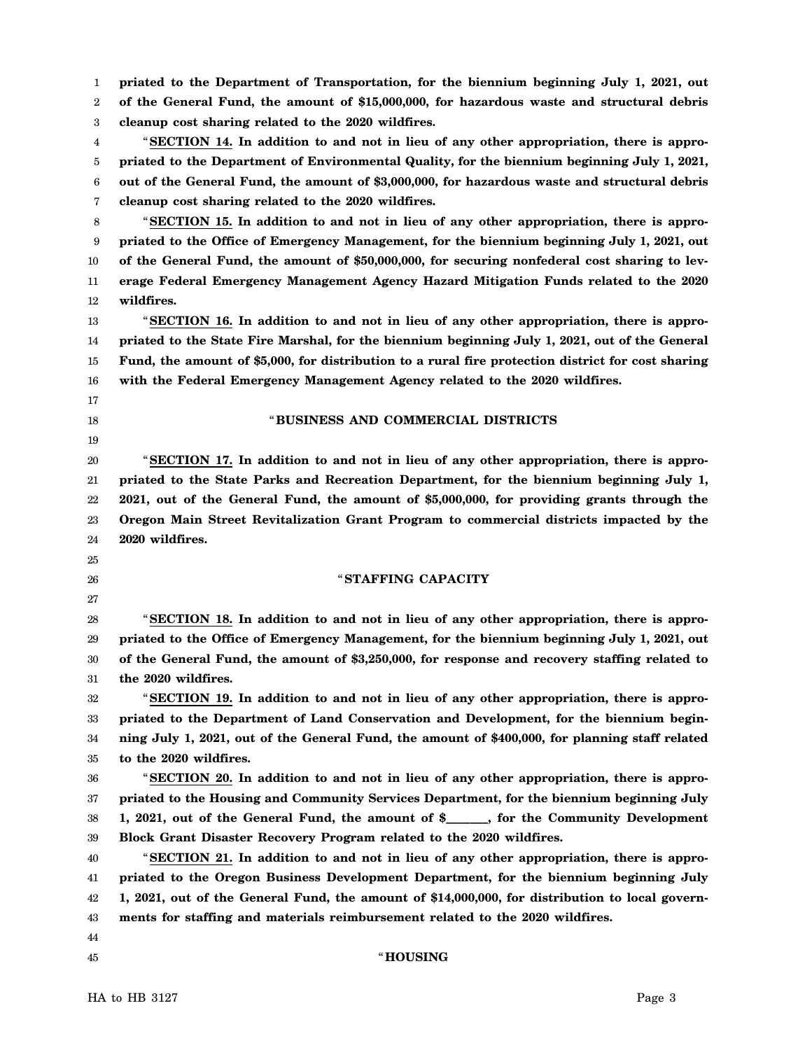1 2 3 4 5 6 7 8 9 10 11 12 13 14 15 16 17 18 19 20 21 22 23 24 25 26 27 28 29 30 31 32 33 34 35 36 37 38 39 40 41 42 43 44 45 **priated to the Department of Transportation, for the biennium beginning July 1, 2021, out of the General Fund, the amount of \$15,000,000, for hazardous waste and structural debris cleanup cost sharing related to the 2020 wildfires.** "**SECTION 14. In addition to and not in lieu of any other appropriation, there is appropriated to the Department of Environmental Quality, for the biennium beginning July 1, 2021, out of the General Fund, the amount of \$3,000,000, for hazardous waste and structural debris cleanup cost sharing related to the 2020 wildfires.** "**SECTION 15. In addition to and not in lieu of any other appropriation, there is appropriated to the Office of Emergency Management, for the biennium beginning July 1, 2021, out of the General Fund, the amount of \$50,000,000, for securing nonfederal cost sharing to leverage Federal Emergency Management Agency Hazard Mitigation Funds related to the 2020 wildfires.** "**SECTION 16. In addition to and not in lieu of any other appropriation, there is appropriated to the State Fire Marshal, for the biennium beginning July 1, 2021, out of the General Fund, the amount of \$5,000, for distribution to a rural fire protection district for cost sharing with the Federal Emergency Management Agency related to the 2020 wildfires.** "**BUSINESS AND COMMERCIAL DISTRICTS** "**SECTION 17. In addition to and not in lieu of any other appropriation, there is appropriated to the State Parks and Recreation Department, for the biennium beginning July 1, 2021, out of the General Fund, the amount of \$5,000,000, for providing grants through the Oregon Main Street Revitalization Grant Program to commercial districts impacted by the 2020 wildfires.** "**STAFFING CAPACITY** "**SECTION 18. In addition to and not in lieu of any other appropriation, there is appropriated to the Office of Emergency Management, for the biennium beginning July 1, 2021, out of the General Fund, the amount of \$3,250,000, for response and recovery staffing related to the 2020 wildfires.** "**SECTION 19. In addition to and not in lieu of any other appropriation, there is appropriated to the Department of Land Conservation and Development, for the biennium beginning July 1, 2021, out of the General Fund, the amount of \$400,000, for planning staff related to the 2020 wildfires.** "**SECTION 20. In addition to and not in lieu of any other appropriation, there is appropriated to the Housing and Community Services Department, for the biennium beginning July 1, 2021, out of the General Fund, the amount of \$\_\_\_\_\_\_\_, for the Community Development Block Grant Disaster Recovery Program related to the 2020 wildfires.** "**SECTION 21. In addition to and not in lieu of any other appropriation, there is appropriated to the Oregon Business Development Department, for the biennium beginning July 1, 2021, out of the General Fund, the amount of \$14,000,000, for distribution to local governments for staffing and materials reimbursement related to the 2020 wildfires.** "**HOUSING**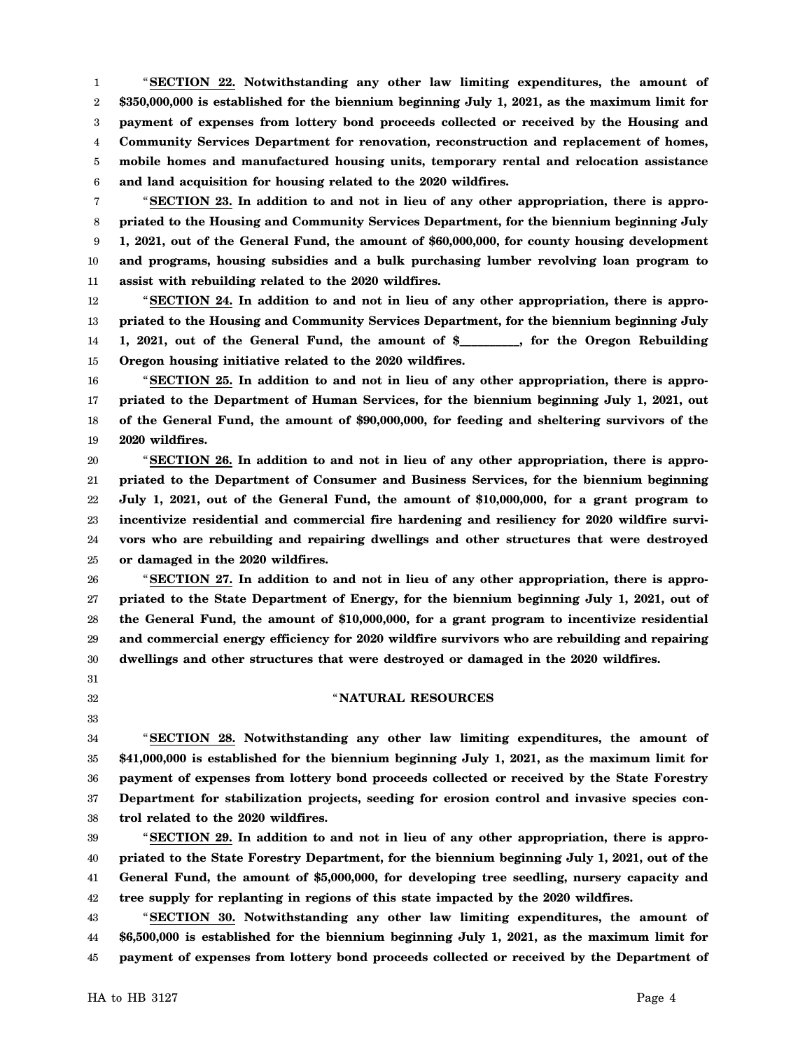1 2 3 4 5 6 "**SECTION 22. Notwithstanding any other law limiting expenditures, the amount of \$350,000,000 is established for the biennium beginning July 1, 2021, as the maximum limit for payment of expenses from lottery bond proceeds collected or received by the Housing and Community Services Department for renovation, reconstruction and replacement of homes, mobile homes and manufactured housing units, temporary rental and relocation assistance and land acquisition for housing related to the 2020 wildfires.**

7 8 9 10 11 "**SECTION 23. In addition to and not in lieu of any other appropriation, there is appropriated to the Housing and Community Services Department, for the biennium beginning July 1, 2021, out of the General Fund, the amount of \$60,000,000, for county housing development and programs, housing subsidies and a bulk purchasing lumber revolving loan program to assist with rebuilding related to the 2020 wildfires.**

12 13 14 15 "**SECTION 24. In addition to and not in lieu of any other appropriation, there is appropriated to the Housing and Community Services Department, for the biennium beginning July 1, 2021, out of the General Fund, the amount of \$\_\_\_\_\_\_\_\_\_\_, for the Oregon Rebuilding Oregon housing initiative related to the 2020 wildfires.**

16 17 18 19 "**SECTION 25. In addition to and not in lieu of any other appropriation, there is appropriated to the Department of Human Services, for the biennium beginning July 1, 2021, out of the General Fund, the amount of \$90,000,000, for feeding and sheltering survivors of the 2020 wildfires.**

20 21 22 23 24 25 "**SECTION 26. In addition to and not in lieu of any other appropriation, there is appropriated to the Department of Consumer and Business Services, for the biennium beginning July 1, 2021, out of the General Fund, the amount of \$10,000,000, for a grant program to incentivize residential and commercial fire hardening and resiliency for 2020 wildfire survivors who are rebuilding and repairing dwellings and other structures that were destroyed or damaged in the 2020 wildfires.**

26 27 28 29 30 "**SECTION 27. In addition to and not in lieu of any other appropriation, there is appropriated to the State Department of Energy, for the biennium beginning July 1, 2021, out of the General Fund, the amount of \$10,000,000, for a grant program to incentivize residential and commercial energy efficiency for 2020 wildfire survivors who are rebuilding and repairing dwellings and other structures that were destroyed or damaged in the 2020 wildfires.**

- 31
- 32
- 33

# " **NATURAL RESOURCES**

34 35 36 37 38 "**SECTION 28. Notwithstanding any other law limiting expenditures, the amount of \$41,000,000 is established for the biennium beginning July 1, 2021, as the maximum limit for payment of expenses from lottery bond proceeds collected or received by the State Forestry Department for stabilization projects, seeding for erosion control and invasive species control related to the 2020 wildfires.**

39 40 41 42 "**SECTION 29. In addition to and not in lieu of any other appropriation, there is appropriated to the State Forestry Department, for the biennium beginning July 1, 2021, out of the General Fund, the amount of \$5,000,000, for developing tree seedling, nursery capacity and tree supply for replanting in regions of this state impacted by the 2020 wildfires.**

43 44 45 "**SECTION 30. Notwithstanding any other law limiting expenditures, the amount of \$6,500,000 is established for the biennium beginning July 1, 2021, as the maximum limit for payment of expenses from lottery bond proceeds collected or received by the Department of**